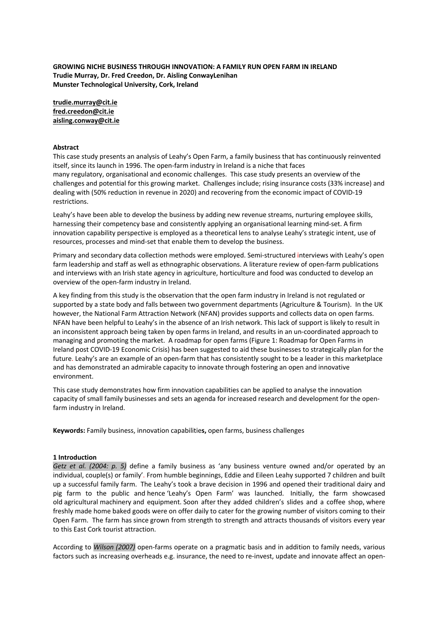**GROWING NICHE BUSINESS THROUGH INNOVATION: A FAMILY RUN OPEN FARM IN IRELAND Trudie Murray, Dr. Fred Creedon, Dr. Aisling ConwayLenihan Munster Technological University, Cork, Ireland**

**trudie.murray@cit.ie fred.creedon@cit.ie aisling.conway@cit.ie**

#### **Abstract**

This case study presents an analysis of Leahy's Open Farm, a family business that has continuously reinvented itself, since its launch in 1996. The open-farm industry in Ireland is a niche that faces many regulatory, organisational and economic challenges. This case study presents an overview of the challenges and potential for this growing market. Challenges include; rising insurance costs (33% increase) and dealing with (50% reduction in revenue in 2020) and recovering from the economic impact of COVID-19 restrictions.

Leahy's have been able to develop the business by adding new revenue streams, nurturing employee skills, harnessing their competency base and consistently applying an organisational learning mind-set. A firm innovation capability perspective is employed as a theoretical lens to analyse Leahy's strategic intent, use of resources, processes and mind-set that enable them to develop the business.

Primary and secondary data collection methods were employed. Semi-structured interviews with Leahy's open farm leadership and staff as well as ethnographic observations. A literature review of open-farm publications and interviews with an Irish state agency in agriculture, horticulture and food was conducted to develop an overview of the open-farm industry in Ireland.

A key finding from this study is the observation that the open farm industry in Ireland is not regulated or supported by a state body and falls between two government departments (Agriculture & Tourism). In the UK however, the National Farm Attraction Network (NFAN) provides supports and collects data on open farms. NFAN have been helpful to Leahy's in the absence of an Irish network. This lack of support is likely to result in an inconsistent approach being taken by open farms in Ireland, and results in an un-coordinated approach to managing and promoting the market. A roadmap for open farms (Figure 1: Roadmap for Open Farms in Ireland post COVID-19 Economic Crisis) has been suggested to aid these businesses to strategically plan for the future. Leahy's are an example of an open-farm that has consistently sought to be a leader in this marketplace and has demonstrated an admirable capacity to innovate through fostering an open and innovative environment.

This case study demonstrates how firm innovation capabilities can be applied to analyse the innovation capacity of small family businesses and sets an agenda for increased research and development for the openfarm industry in Ireland.

**Keywords:** Family business, innovation capabilitie**s,** open farms, business challenges

#### **1 Introduction**

*Getz et al. (2004: p. 5)* define a family business as 'any business venture owned and/or operated by an individual, couple(s) or family'. From humble beginnings, Eddie and Eileen Leahy supported 7 children and built up a successful family farm. The Leahy's took a brave decision in 1996 and opened their traditional dairy and pig farm to the public and hence 'Leahy's Open Farm' was launched. Initially, the farm showcased old agricultural machinery and equipment. Soon after they added children's slides and a coffee shop, where freshly made home baked goods were on offer daily to cater for the growing number of visitors coming to their Open Farm. The farm has since grown from strength to strength and attracts thousands of visitors every year to this East Cork tourist attraction.

According to *Wilson (2007)* open-farms operate on a pragmatic basis and in addition to family needs, various factors such as increasing overheads e.g. insurance, the need to re-invest, update and innovate affect an open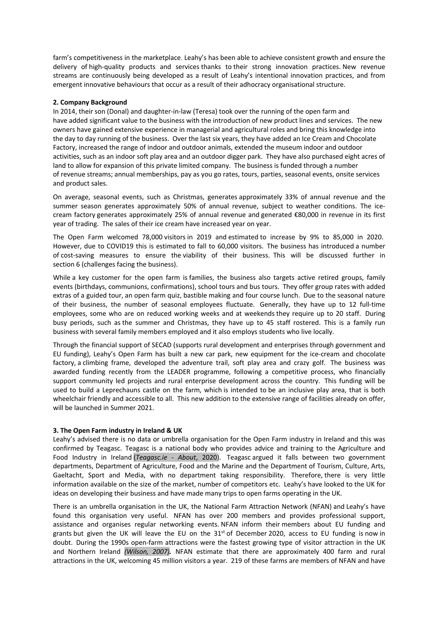farm's competitiveness in the marketplace. Leahy's has been able to achieve consistent growth and ensure the delivery of high-quality products and services thanks to their strong innovation practices. New revenue streams are continuously being developed as a result of Leahy's intentional innovation practices, and from emergent innovative behaviours that occur as a result of their adhocracy organisational structure.

## **2. Company Background**

In 2014, their son (Donal) and daughter-in-law (Teresa) took over the running of the open farm and have added significant value to the business with the introduction of new product lines and services. The new owners have gained extensive experience in managerial and agricultural roles and bring this knowledge into the day to day running of the business. Over the last six years, they have added an Ice Cream and Chocolate Factory, increased the range of indoor and outdoor animals, extended the museum indoor and outdoor activities, such as an indoor soft play area and an outdoor digger park. They have also purchased eight acres of land to allow for expansion of this private limited company. The business is funded through a number of revenue streams; annual memberships, pay as you go rates, tours, parties, seasonal events, onsite services and product sales.

On average, seasonal events, such as Christmas, generates approximately 33% of annual revenue and the summer season generates approximately 50% of annual revenue, subject to weather conditions. The icecream factory generates approximately 25% of annual revenue and generated €80,000 in revenue in its first year of trading. The sales of their ice cream have increased year on year.

The Open Farm welcomed 78,000 visitors in 2019 and estimated to increase by 9% to 85,000 in 2020. However, due to COVID19 this is estimated to fall to 60,000 visitors. The business has introduced a number of cost-saving measures to ensure the viability of their business. This will be discussed further in section 6 (challenges facing the business).

While a key customer for the open farm is families, the business also targets active retired groups, family events (birthdays, communions, confirmations), school tours and bus tours. They offer group rates with added extras of a guided tour, an open farm quiz, bastible making and four course lunch. Due to the seasonal nature of their business, the number of seasonal employees fluctuate. Generally, they have up to 12 full-time employees, some who are on reduced working weeks and at weekends they require up to 20 staff. During busy periods, such as the summer and Christmas, they have up to 45 staff rostered. This is a family run business with several family members employed and it also employs students who live locally.

Through the financial support of SECAD (supports rural development and enterprises through government and EU funding), Leahy's Open Farm has built a new car park, new equipment for the ice-cream and chocolate factory, a climbing frame, developed the adventure trail, soft play area and crazy golf. The business was awarded funding recently from the LEADER programme, following a competitive process, who financially support community led projects and rural enterprise development across the country. This funding will be used to build a Leprechauns castle on the farm, which is intended to be an inclusive play area, that is both wheelchair friendly and accessible to all. This new addition to the extensive range of facilities already on offer, will be launched in Summer 2021.

# **3. The Open Farm industry in Ireland & UK**

Leahy's advised there is no data or umbrella organisation for the Open Farm industry in Ireland and this was confirmed by Teagasc. Teagasc is a national body who provides advice and training to the Agriculture and Food Industry in Ireland (*Teagasc.ie - About*, 2020). Teagasc argued it falls between two government departments, Department of Agriculture, Food and the Marine and the Department of Tourism, Culture, Arts, Gaeltacht, Sport and Media, with no department taking responsibility. Therefore, there is very little information available on the size of the market, number of competitors etc. Leahy's have looked to the UK for ideas on developing their business and have made many trips to open farms operating in the UK.

There is an umbrella organisation in the UK, the National Farm Attraction Network (NFAN) and Leahy's have found this organisation very useful. NFAN has over 200 members and provides professional support, assistance and organises regular networking events. NFAN inform their members about EU funding and grants but given the UK will leave the EU on the  $31<sup>st</sup>$  of December 2020, access to EU funding is now in doubt. During the 1990s open-farm attractions were the fastest growing type of visitor attraction in the UK and Northern Ireland *(Wilson, 2007).* NFAN estimate that there are approximately 400 farm and rural attractions in the UK, welcoming 45 million visitors a year. 219 of these farms are members of NFAN and have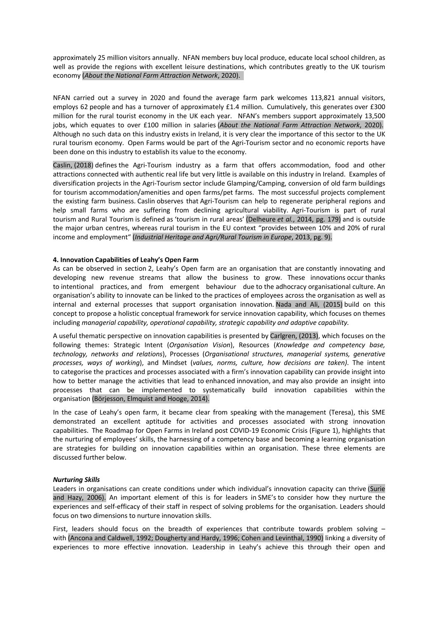approximately 25 million visitors annually. NFAN members buy local produce, educate local school children, as well as provide the regions with excellent leisure destinations, which contributes greatly to the UK tourism economy (*About the National Farm Attraction Network*, 2020). 

NFAN carried out a survey in 2020 and found the average farm park welcomes 113,821 annual visitors, employs 62 people and has a turnover of approximately £1.4 million. Cumulatively, this generates over £300 million for the rural tourist economy in the UK each year. NFAN's members support approximately 13,500 jobs, which equates to over £100 million in salaries (*About the National Farm Attraction Network*, 2020). Although no such data on this industry exists in Ireland, it is very clear the importance of this sector to the UK rural tourism economy. Open Farms would be part of the Agri-Tourism sector and no economic reports have been done on this industry to establish its value to the economy.

Caslin, (2018) defines the Agri-Tourism industry as a farm that offers accommodation, food and other attractions connected with authentic real life but very little is available on this industry in Ireland. Examples of diversification projects in the Agri-Tourism sector include Glamping/Camping, conversion of old farm buildings for tourism accommodation/amenities and open farms/pet farms. The most successful projects complement the existing farm business. Caslin observes that Agri-Tourism can help to regenerate peripheral regions and help small farms who are suffering from declining agricultural viability. Agri-Tourism is part of rural tourism and Rural Tourism is defined as 'tourism in rural areas' (Delheure *et al.*, 2014, pg. 179) and is outside the major urban centres, whereas rural tourism in the EU context "provides between 10% and 20% of rural income and employment" (*Industrial Heritage and Agri/Rural Tourism in Europe*, 2013, pg. 9).

# **4. Innovation Capabilities of Leahy's Open Farm**

As can be observed in section 2, Leahy's Open farm are an organisation that are constantly innovating and developing new revenue streams that allow the business to grow. These innovations occur thanks to intentional practices, and from emergent behaviour due to the adhocracy organisational culture. An organisation's ability to innovate can be linked to the practices of employees across the organisation as well as internal and external processes that support organisation innovation. Nada and Ali, (2015) build on this concept to propose a holistic conceptual framework for service innovation capability, which focuses on themes including *managerial capability, operational capability, strategic capability and adaptive capability.*

A useful thematic perspective on innovation capabilities is presented by Carlgren, (2013), which focuses on the following themes: Strategic Intent (*Organisation Vision*), Resources (*Knowledge and competency base, technology, networks and relations*), Processes (*Organisational structures, managerial systems, generative processes, ways of working*), and Mindset (*values, norms, culture, how decisions are taken)*. The intent to categorise the practices and processes associated with a firm's innovation capability can provide insight into how to better manage the activities that lead to enhanced innovation, and may also provide an insight into processes that can be implemented to systematically build innovation capabilities within the organisation (Börjesson, Elmquist and Hooge, 2014).

In the case of Leahy's open farm, it became clear from speaking with the management (Teresa), this SME demonstrated an excellent aptitude for activities and processes associated with strong innovation capabilities. The Roadmap for Open Farms in Ireland post COVID-19 Economic Crisis (Figure 1), highlights that the nurturing of employees' skills, the harnessing of a competency base and becoming a learning organisation are strategies for building on innovation capabilities within an organisation. These three elements are discussed further below.

# *Nurturing Skills*

Leaders in organisations can create conditions under which individual's innovation capacity can thrive (Surie and Hazy, 2006). An important element of this is for leaders in SME's to consider how they nurture the experiences and self-efficacy of their staff in respect of solving problems for the organisation. Leaders should focus on two dimensions to nurture innovation skills.

First, leaders should focus on the breadth of experiences that contribute towards problem solving with (Ancona and Caldwell, 1992; Dougherty and Hardy, 1996; Cohen and Levinthal, 1990) linking a diversity of experiences to more effective innovation. Leadership in Leahy's achieve this through their open and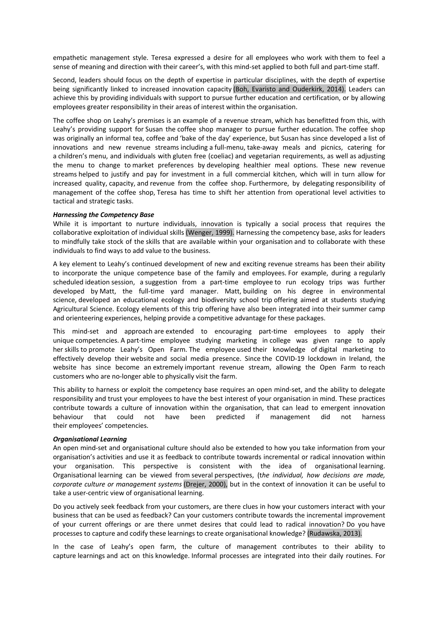empathetic management style. Teresa expressed a desire for all employees who work with them to feel a sense of meaning and direction with their career's, with this mind-set applied to both full and part-time staff.

Second, leaders should focus on the depth of expertise in particular disciplines, with the depth of expertise being significantly linked to increased innovation capacity (Boh, Evaristo and Ouderkirk, 2014). Leaders can achieve this by providing individuals with support to pursue further education and certification, or by allowing employees greater responsibility in their areas of interest within the organisation.

The coffee shop on Leahy's premises is an example of a revenue stream, which has benefitted from this, with Leahy's providing support for Susan the coffee shop manager to pursue further education. The coffee shop was originally an informal tea, coffee and 'bake of the day' experience, but Susan has since developed a list of innovations and new revenue streams including a full-menu, take-away meals and picnics, catering for a children's menu, and individuals with gluten free (coeliac) and vegetarian requirements, as well as adjusting the menu to change to market preferences by developing healthier meal options. These new revenue streams helped to justify and pay for investment in a full commercial kitchen, which will in turn allow for increased quality, capacity, and revenue from the coffee shop. Furthermore, by delegating responsibility of management of the coffee shop, Teresa has time to shift her attention from operational level activities to tactical and strategic tasks.

## *Harnessing the Competency Base*

While it is important to nurture individuals, innovation is typically a social process that requires the collaborative exploitation of individual skills (Wenger, 1999). Harnessing the competency base, asks for leaders to mindfully take stock of the skills that are available within your organisation and to collaborate with these individuals to find ways to add value to the business.

A key element to Leahy's continued development of new and exciting revenue streams has been their ability to incorporate the unique competence base of the family and employees. For example, during a regularly scheduled ideation session, a suggestion from a part-time employee to run ecology trips was further developed by Matt, the full-time yard manager. Matt, building on his degree in environmental science, developed an educational ecology and biodiversity school trip offering aimed at students studying Agricultural Science. Ecology elements of this trip offering have also been integrated into their summer camp and orienteering experiences, helping provide a competitive advantage for these packages.

This mind-set and approach are extended to encouraging part-time employees to apply their unique competencies. A part-time employee studying marketing in college was given range to apply her skills to promote Leahy's Open Farm. The employee used their knowledge of digital marketing to effectively develop their website and social media presence. Since the COVID-19 lockdown in Ireland, the website has since become an extremely important revenue stream, allowing the Open Farm to reach customers who are no-longer able to physically visit the farm.

This ability to harness or exploit the competency base requires an open mind-set, and the ability to delegate responsibility and trust your employees to have the best interest of your organisation in mind. These practices contribute towards a culture of innovation within the organisation, that can lead to emergent innovation behaviour that could not have been predicted if management did not harness their employees' competencies.

#### *Organisational Learning*

An open mind-set and organisational culture should also be extended to how you take information from your organisation's activities and use it as feedback to contribute towards incremental or radical innovation within your organisation. This perspective is consistent with the idea of organisational learning. Organisational learning can be viewed from several perspectives, (t*he individual, how decisions are made, corporate culture or management systems* (Drejer, 2000), but in the context of innovation it can be useful to take a user-centric view of organisational learning.

Do you actively seek feedback from your customers, are there clues in how your customers interact with your business that can be used as feedback? Can your customers contribute towards the incremental improvement of your current offerings or are there unmet desires that could lead to radical innovation? Do you have processes to capture and codify these learnings to create organisational knowledge? (Rudawska, 2013).

In the case of Leahy's open farm, the culture of management contributes to their ability to capture learnings and act on this knowledge. Informal processes are integrated into their daily routines. For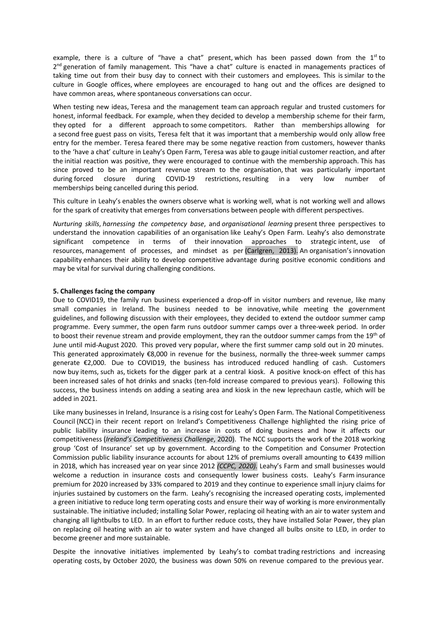example, there is a culture of "have a chat" present, which has been passed down from the  $1<sup>st</sup>$  to 2<sup>nd</sup> generation of family management. This "have a chat" culture is enacted in managements practices of taking time out from their busy day to connect with their customers and employees. This is similar to the culture in Google offices, where employees are encouraged to hang out and the offices are designed to have common areas, where spontaneous conversations can occur.

When testing new ideas, Teresa and the management team can approach regular and trusted customers for honest, informal feedback. For example, when they decided to develop a membership scheme for their farm, they opted for a different approach to some competitors. Rather than memberships allowing for a second free guest pass on visits, Teresa felt that it was important that a membership would only allow free entry for the member. Teresa feared there may be some negative reaction from customers, however thanks to the 'have a chat' culture in Leahy's Open Farm, Teresa was able to gauge initial customer reaction, and after the initial reaction was positive, they were encouraged to continue with the membership approach. This has since proved to be an important revenue stream to the organisation, that was particularly important during forced closure during COVID-19 restrictions, resulting in a very low number of memberships being cancelled during this period.

This culture in Leahy's enables the owners observe what is working well, what is not working well and allows for the spark of creativity that emerges from conversations between people with different perspectives.

*Nurturing skills*, *harnessing the competency base*, and *organisational learning* present three perspectives to understand the innovation capabilities of an organisation like Leahy's Open Farm. Leahy's also demonstrate significant competence in terms of their innovation approaches to strategic intent, use of resources, management of processes, and mindset as per (Carlgren, 2013). An organisation's innovation capability enhances their ability to develop competitive advantage during positive economic conditions and may be vital for survival during challenging conditions.

## **5. Challenges facing the company**

Due to COVID19, the family run business experienced a drop-off in visitor numbers and revenue, like many small companies in Ireland. The business needed to be innovative, while meeting the government guidelines, and following discussion with their employees, they decided to extend the outdoor summer camp programme. Every summer, the open farm runs outdoor summer camps over a three-week period. In order to boost their revenue stream and provide employment, they ran the outdoor summer camps from the 19<sup>th</sup> of June until mid-August 2020. This proved very popular, where the first summer camp sold out in 20 minutes. This generated approximately €8,000 in revenue for the business, normally the three-week summer camps generate €2,000. Due to COVID19, the business has introduced reduced handling of cash. Customers now buy items, such as, tickets for the digger park at a central kiosk. A positive knock-on effect of this has been increased sales of hot drinks and snacks (ten-fold increase compared to previous years). Following this success, the business intends on adding a seating area and kiosk in the new leprechaun castle, which will be added in 2021.

Like many businesses in Ireland, Insurance is a rising cost for Leahy's Open Farm. The National Competitiveness Council (NCC) in their recent report on Ireland's Competitiveness Challenge highlighted the rising price of public liability insurance leading to an increase in costs of doing business and how it affects our competitiveness (*Ireland's Competitiveness Challenge*, 2020). The NCC supports the work of the 2018 working group 'Cost of Insurance' set up by government. According to the Competition and Consumer Protection Commission public liability insurance accounts for about 12% of premiums overall amounting to €439 million in 2018, which has increased year on year since 2012 *(CCPC, 2020).* Leahy's Farm and small businesses would welcome a reduction in insurance costs and consequently lower business costs. Leahy's Farm insurance premium for 2020 increased by 33% compared to 2019 and they continue to experience small injury claims for injuries sustained by customers on the farm. Leahy's recognising the increased operating costs, implemented a green initiative to reduce long term operating costs and ensure their way of working is more environmentally sustainable. The initiative included; installing Solar Power, replacing oil heating with an air to water system and changing all lightbulbs to LED. In an effort to further reduce costs, they have installed Solar Power, they plan on replacing oil heating with an air to water system and have changed all bulbs onsite to LED, in order to become greener and more sustainable.

Despite the innovative initiatives implemented by Leahy's to combat trading restrictions and increasing operating costs, by October 2020, the business was down 50% on revenue compared to the previous year.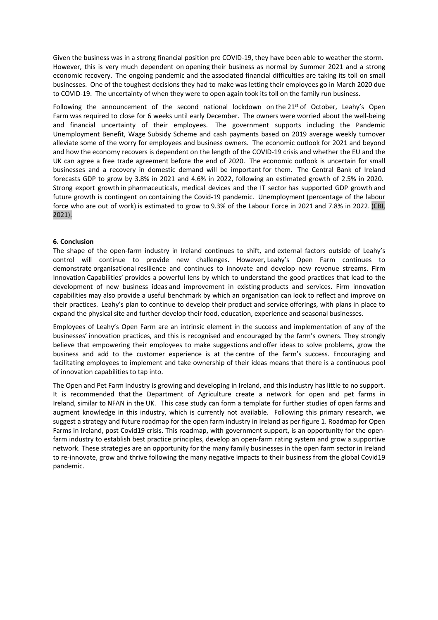Given the business was in a strong financial position pre COVID-19, they have been able to weather the storm. However, this is very much dependent on opening their business as normal by Summer 2021 and a strong economic recovery. The ongoing pandemic and the associated financial difficulties are taking its toll on small businesses. One of the toughest decisions they had to make was letting their employees go in March 2020 due to COVID-19. The uncertainty of when they were to open again took its toll on the family run business.

Following the announcement of the second national lockdown on the  $21<sup>st</sup>$  of October, Leahy's Open Farm was required to close for 6 weeks until early December. The owners were worried about the well-being and financial uncertainty of their employees. The government supports including the Pandemic Unemployment Benefit, Wage Subsidy Scheme and cash payments based on 2019 average weekly turnover alleviate some of the worry for employees and business owners. The economic outlook for 2021 and beyond and how the economy recovers is dependent on the length of the COVID-19 crisis and whether the EU and the UK can agree a free trade agreement before the end of 2020. The economic outlook is uncertain for small businesses and a recovery in domestic demand will be important for them. The Central Bank of Ireland forecasts GDP to grow by 3.8% in 2021 and 4.6% in 2022, following an estimated growth of 2.5% in 2020. Strong export growth in pharmaceuticals, medical devices and the IT sector has supported GDP growth and future growth is contingent on containing the Covid-19 pandemic. Unemployment (percentage of the labour force who are out of work) is estimated to grow to 9.3% of the Labour Force in 2021 and 7.8% in 2022. (CBI, 2021).

## **6. Conclusion**

The shape of the open-farm industry in Ireland continues to shift, and external factors outside of Leahy's control will continue to provide new challenges. However, Leahy's Open Farm continues to demonstrate organisational resilience and continues to innovate and develop new revenue streams. Firm Innovation Capabilities' provides a powerful lens by which to understand the good practices that lead to the development of new business ideas and improvement in existing products and services. Firm innovation capabilities may also provide a useful benchmark by which an organisation can look to reflect and improve on their practices. Leahy's plan to continue to develop their product and service offerings, with plans in place to expand the physical site and further develop their food, education, experience and seasonal businesses.

Employees of Leahy's Open Farm are an intrinsic element in the success and implementation of any of the businesses' innovation practices, and this is recognised and encouraged by the farm's owners. They strongly believe that empowering their employees to make suggestions and offer ideas to solve problems, grow the business and add to the customer experience is at the centre of the farm's success. Encouraging and facilitating employees to implement and take ownership of their ideas means that there is a continuous pool of innovation capabilities to tap into.

The Open and Pet Farm industry is growing and developing in Ireland, and this industry has little to no support. It is recommended that the Department of Agriculture create a network for open and pet farms in Ireland, similar to NFAN in the UK. This case study can form a template for further studies of open farms and augment knowledge in this industry, which is currently not available. Following this primary research, we suggest a strategy and future roadmap for the open farm industry in Ireland as per figure 1. Roadmap for Open Farms in Ireland, post Covid19 crisis. This roadmap, with government support, is an opportunity for the openfarm industry to establish best practice principles, develop an open-farm rating system and grow a supportive network. These strategies are an opportunity for the many family businesses in the open farm sector in Ireland to re-innovate, grow and thrive following the many negative impacts to their business from the global Covid19 pandemic.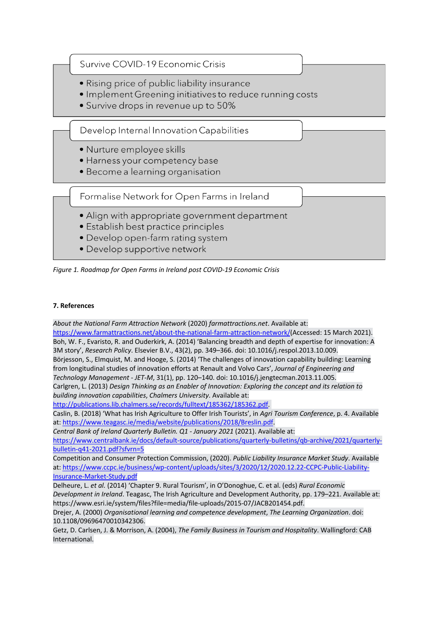



# **7. References**

*About the National Farm Attraction Network* (2020) *farmattractions.net*. Available at:

https://www.farmattractions.net/about-the-national-farm-attraction-network/(Accessed: 15 March 2021). Boh, W. F., Evaristo, R. and Ouderkirk, A. (2014) 'Balancing breadth and depth of expertise for innovation: A 3M story', *Research Policy*. Elsevier B.V., 43(2), pp. 349–366. doi: 10.1016/j.respol.2013.10.009. Börjesson, S., Elmquist, M. and Hooge, S. (2014) 'The challenges of innovation capability building: Learning from longitudinal studies of innovation efforts at Renault and Volvo Cars', *Journal of Engineering and Technology Management - JET-M*, 31(1), pp. 120–140. doi: 10.1016/j.jengtecman.2013.11.005. Carlgren, L. (2013) *Design Thinking as an Enabler of Innovation: Exploring the concept and its relation to* 

*building innovation capabilities*, *Chalmers University*. Available at: http://publications.lib.chalmers.se/records/fulltext/185362/185362.pdf.

Caslin, B. (2018) 'What has Irish Agriculture to Offer Irish Tourists', in *Agri Tourism Conference*, p. 4. Available at: https://www.teagasc.ie/media/website/publications/2018/Breslin.pdf.

*Central Bank of Ireland Quarterly Bulletin. Q1 - January 2021* (2021). Available at:

https://www.centralbank.ie/docs/default-source/publications/quarterly-bulletins/qb-archive/2021/quarterlybulletin-q41-2021.pdf?sfvrn=5

Competition and Consumer Protection Commission, (2020). *Public Liability Insurance Market Study*. Available at: https://www.ccpc.ie/business/wp-content/uploads/sites/3/2020/12/2020.12.22-CCPC-Public-Liability-Insurance-Market-Study.pdf

Delheure, L. *et al.* (2014) 'Chapter 9. Rural Tourism', in O'Donoghue, C. et al. (eds) *Rural Economic Development in Ireland*. Teagasc, The Irish Agriculture and Development Authority, pp. 179–221. Available at: https://www.esri.ie/system/files?file=media/file-uploads/2015-07/JACB201454.pdf.

Drejer, A. (2000) *Organisational learning and competence development*, *The Learning Organization*. doi: 10.1108/09696470010342306.

Getz, D. Carlsen, J. & Morrison, A. (2004), *The Family Business in Tourism and Hospitality*. Wallingford: CAB International.